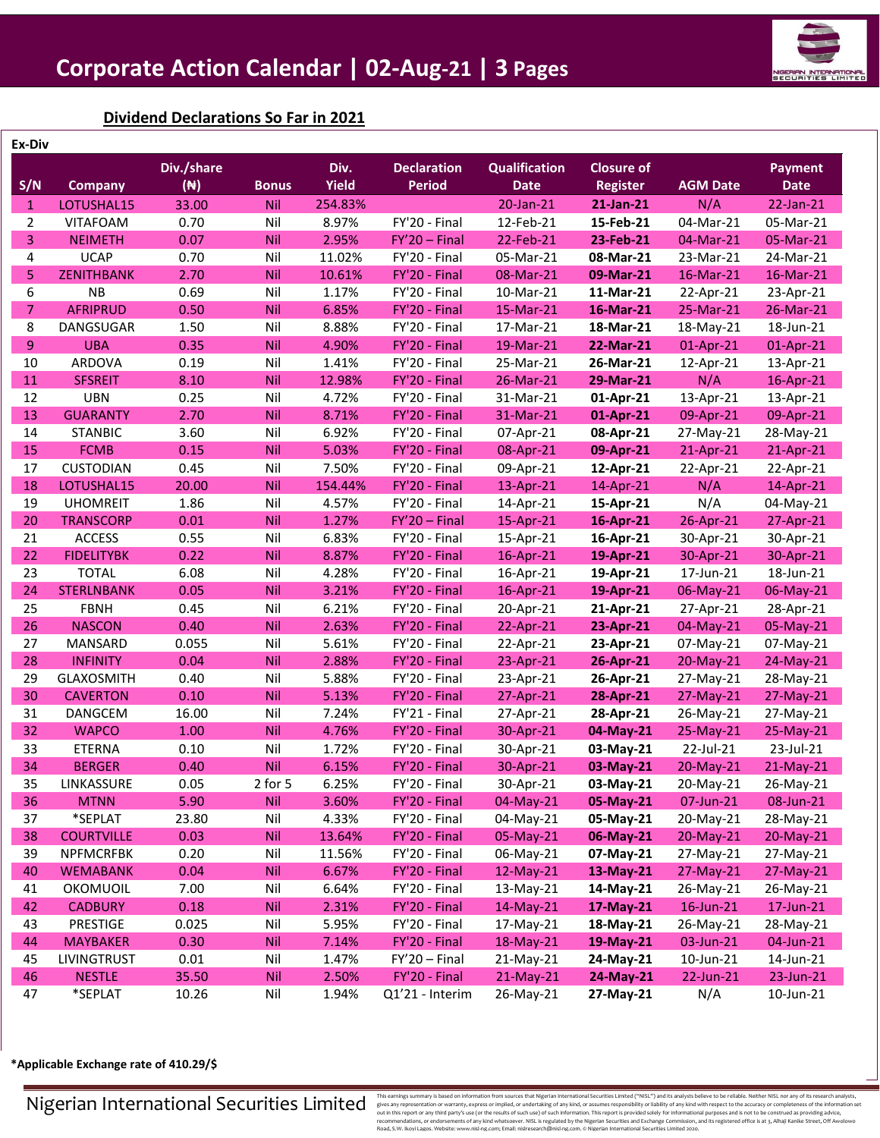

**Dividend Declarations So Far in 2021**

| Ex-Div         |                   |                |            |              |                    |                      |                   |                 |                |
|----------------|-------------------|----------------|------------|--------------|--------------------|----------------------|-------------------|-----------------|----------------|
|                |                   | Div./share     |            | Div.         | <b>Declaration</b> | <b>Qualification</b> | <b>Closure of</b> |                 | <b>Payment</b> |
| S/N            | <b>Company</b>    | $(\mathbb{N})$ | Bonus      | <b>Yield</b> | <b>Period</b>      | <b>Date</b>          | <b>Register</b>   | <b>AGM Date</b> | <b>Date</b>    |
| $\mathbf{1}$   | LOTUSHAL15        | 33.00          | <b>Nil</b> | 254.83%      |                    | 20-Jan-21            | 21-Jan-21         | N/A             | 22-Jan-21      |
| 2              | <b>VITAFOAM</b>   | 0.70           | Nil        | 8.97%        | FY'20 - Final      | 12-Feb-21            | 15-Feb-21         | 04-Mar-21       | 05-Mar-21      |
| 3              | <b>NEIMETH</b>    | 0.07           | Nil        | 2.95%        | $FY'20 - Final$    | 22-Feb-21            | 23-Feb-21         | 04-Mar-21       | 05-Mar-21      |
| 4              | <b>UCAP</b>       | 0.70           | Nil        | 11.02%       | FY'20 - Final      | 05-Mar-21            | 08-Mar-21         | 23-Mar-21       | 24-Mar-21      |
| 5.             | <b>ZENITHBANK</b> | 2.70           | <b>Nil</b> | 10.61%       | FY'20 - Final      | 08-Mar-21            | 09-Mar-21         | 16-Mar-21       | 16-Mar-21      |
| 6              | <b>NB</b>         | 0.69           | Nil        | 1.17%        | FY'20 - Final      | 10-Mar-21            | 11-Mar-21         | 22-Apr-21       | 23-Apr-21      |
| $\overline{7}$ | <b>AFRIPRUD</b>   | 0.50           | Nil        | 6.85%        | FY'20 - Final      | $15-Mar-21$          | 16-Mar-21         | 25-Mar-21       | 26-Mar-21      |
| 8              | DANGSUGAR         | 1.50           | Nil        | 8.88%        | FY'20 - Final      | 17-Mar-21            | 18-Mar-21         | 18-May-21       | 18-Jun-21      |
| 9              | <b>UBA</b>        | 0.35           | Nil        | 4.90%        | FY'20 - Final      | 19-Mar-21            | 22-Mar-21         | 01-Apr-21       | 01-Apr-21      |
| 10             | ARDOVA            | 0.19           | Nil        | 1.41%        | FY'20 - Final      | 25-Mar-21            | 26-Mar-21         | 12-Apr-21       | 13-Apr-21      |
| 11             | <b>SFSREIT</b>    | 8.10           | Nil        | 12.98%       | FY'20 - Final      | 26-Mar-21            | 29-Mar-21         | N/A             | 16-Apr-21      |
| 12             | <b>UBN</b>        | 0.25           | Nil        | 4.72%        | FY'20 - Final      | 31-Mar-21            | 01-Apr-21         | 13-Apr-21       | 13-Apr-21      |
| 13             | <b>GUARANTY</b>   | 2.70           | Nil        | 8.71%        | FY'20 - Final      | 31-Mar-21            | 01-Apr-21         | 09-Apr-21       | 09-Apr-21      |
| 14             | <b>STANBIC</b>    | 3.60           | Nil        | 6.92%        | FY'20 - Final      | 07-Apr-21            | 08-Apr-21         | 27-May-21       | 28-May-21      |
| 15             | <b>FCMB</b>       | 0.15           | Nil        | 5.03%        | FY'20 - Final      | 08-Apr-21            | 09-Apr-21         | 21-Apr-21       | 21-Apr-21      |
| 17             | <b>CUSTODIAN</b>  | 0.45           | Nil        | 7.50%        | FY'20 - Final      | 09-Apr-21            | 12-Apr-21         | 22-Apr-21       | 22-Apr-21      |
| 18             | LOTUSHAL15        | 20.00          | <b>Nil</b> | 154.44%      | FY'20 - Final      | 13-Apr-21            | 14-Apr-21         | N/A             | 14-Apr-21      |
| 19             | <b>UHOMREIT</b>   | 1.86           | Nil        | 4.57%        | FY'20 - Final      | 14-Apr-21            | 15-Apr-21         | N/A             | 04-May-21      |
| 20             | <b>TRANSCORP</b>  | 0.01           | Nil        | 1.27%        | $FY'20 - Final$    | 15-Apr-21            | 16-Apr-21         | 26-Apr-21       | 27-Apr-21      |
| 21             | <b>ACCESS</b>     | 0.55           | Nil        | 6.83%        | FY'20 - Final      | 15-Apr-21            | 16-Apr-21         | 30-Apr-21       | 30-Apr-21      |
| 22             | <b>FIDELITYBK</b> | 0.22           | Nil        | 8.87%        | FY'20 - Final      | 16-Apr-21            | 19-Apr-21         | 30-Apr-21       | 30-Apr-21      |
| 23             | <b>TOTAL</b>      | 6.08           | Nil        | 4.28%        | FY'20 - Final      | 16-Apr-21            | 19-Apr-21         | 17-Jun-21       | 18-Jun-21      |
| 24             | <b>STERLNBANK</b> | 0.05           | Nil        | 3.21%        | FY'20 - Final      | 16-Apr-21            | 19-Apr-21         | 06-May-21       | 06-May-21      |
| 25             | <b>FBNH</b>       | 0.45           | Nil        | 6.21%        | FY'20 - Final      | 20-Apr-21            | 21-Apr-21         | 27-Apr-21       | 28-Apr-21      |
| 26             | <b>NASCON</b>     | 0.40           | <b>Nil</b> | 2.63%        | FY'20 - Final      | 22-Apr-21            | 23-Apr-21         | 04-May-21       | 05-May-21      |
| 27             | MANSARD           | 0.055          | Nil        | 5.61%        | FY'20 - Final      | 22-Apr-21            | 23-Apr-21         | 07-May-21       | 07-May-21      |
| 28             | <b>INFINITY</b>   | 0.04           | Nil        | 2.88%        | FY'20 - Final      | 23-Apr-21            | 26-Apr-21         | 20-May-21       | 24-May-21      |
| 29             | <b>GLAXOSMITH</b> | 0.40           | Nil        | 5.88%        | FY'20 - Final      | 23-Apr-21            | 26-Apr-21         | 27-May-21       | 28-May-21      |
| 30             | <b>CAVERTON</b>   | 0.10           | Nil        | 5.13%        | FY'20 - Final      | 27-Apr-21            | 28-Apr-21         | $27-May-21$     | 27-May-21      |
| 31             | DANGCEM           | 16.00          | Nil        | 7.24%        | FY'21 - Final      | 27-Apr-21            | 28-Apr-21         | 26-May-21       | 27-May-21      |
| 32             | <b>WAPCO</b>      | 1.00           | <b>Nil</b> | 4.76%        | FY'20 - Final      | 30-Apr-21            | 04-May-21         | 25-May-21       | 25-May-21      |
| 33             | <b>ETERNA</b>     | 0.10           | Nil        | 1.72%        | FY'20 - Final      | 30-Apr-21            | 03-May-21         | 22-Jul-21       | 23-Jul-21      |
| 34             | <b>BERGER</b>     | 0.40           | <b>Nil</b> | 6.15%        | FY'20 - Final      | 30-Apr-21            | 03-May-21         | 20-May-21       | 21-May-21      |
| 35             | LINKASSURE        | 0.05           | 2 for 5    | 6.25%        | FY'20 - Final      | 30-Apr-21            | 03-May-21         | 20-May-21       | 26-May-21      |
| 36             | <b>MTNN</b>       | 5.90           | Nil        | 3.60%        | FY'20 - Final      | 04-May-21            | 05-May-21         | 07-Jun-21       | 08-Jun-21      |
| 37             | *SEPLAT           | 23.80          | Nil        | 4.33%        | FY'20 - Final      | 04-May-21            | 05-May-21         | 20-May-21       | 28-May-21      |
| 38             | <b>COURTVILLE</b> | 0.03           | Nil        | 13.64%       | FY'20 - Final      | 05-May-21            | 06-May-21         | 20-May-21       | 20-May-21      |
| 39             | <b>NPFMCRFBK</b>  | 0.20           | Nil        | 11.56%       | FY'20 - Final      | 06-May-21            | 07-May-21         | 27-May-21       | 27-May-21      |
| 40             | <b>WEMABANK</b>   | 0.04           | Nil        | 6.67%        | FY'20 - Final      | 12-May-21            | 13-May-21         | 27-May-21       | 27-May-21      |
| 41             | OKOMUOIL          | 7.00           | Nil        | 6.64%        | FY'20 - Final      | 13-May-21            | 14-May-21         | 26-May-21       | 26-May-21      |
| 42             | <b>CADBURY</b>    | 0.18           | Nil        | 2.31%        | FY'20 - Final      | 14-May-21            | 17-May-21         | 16-Jun-21       | 17-Jun-21      |
| 43             | PRESTIGE          | 0.025          | Nil        | 5.95%        | FY'20 - Final      | 17-May-21            | 18-May-21         | 26-May-21       | 28-May-21      |
| 44             | <b>MAYBAKER</b>   | 0.30           | Nil        | 7.14%        | FY'20 - Final      | 18-May-21            | 19-May-21         | 03-Jun-21       | 04-Jun-21      |
| 45             | LIVINGTRUST       | 0.01           | Nil        | 1.47%        | $FY'20 - Final$    | 21-May-21            | 24-May-21         | 10-Jun-21       | 14-Jun-21      |
| 46             | <b>NESTLE</b>     | 35.50          | <b>Nil</b> | 2.50%        | FY'20 - Final      | 21-May-21            | 24-May-21         | 22-Jun-21       | 23-Jun-21      |
| 47             | *SEPLAT           | 10.26          | Nil        | 1.94%        | Q1'21 - Interim    | 26-May-21            | 27-May-21         | N/A             | 10-Jun-21      |

**\*Applicable Exchange rate of 410.29/\$** 

 $\sum \text{array}_{\text{theorems}} \text{Non-all} \text{scum} \text{ is also at most possible.} \footnotesize \text{Non-all} \text{is a set of the network.} \footnotesize \text{Non-all} \text{is a set of the network.} \footnotesize \text{Non-all} \text{is a set of the network.} \footnotesize \text{Non-all} \text{is a set of the network.} \footnotesize \text{Non-all} \text{is a set of the network.} \footnotesize \text{with the input is the input.} \footnotesize \text{with the input.} \footnotesize \text{with the input.} \footnotesize \text{with the input.} \footnotesize \text{with the input.} \footnotesize \text{with the input$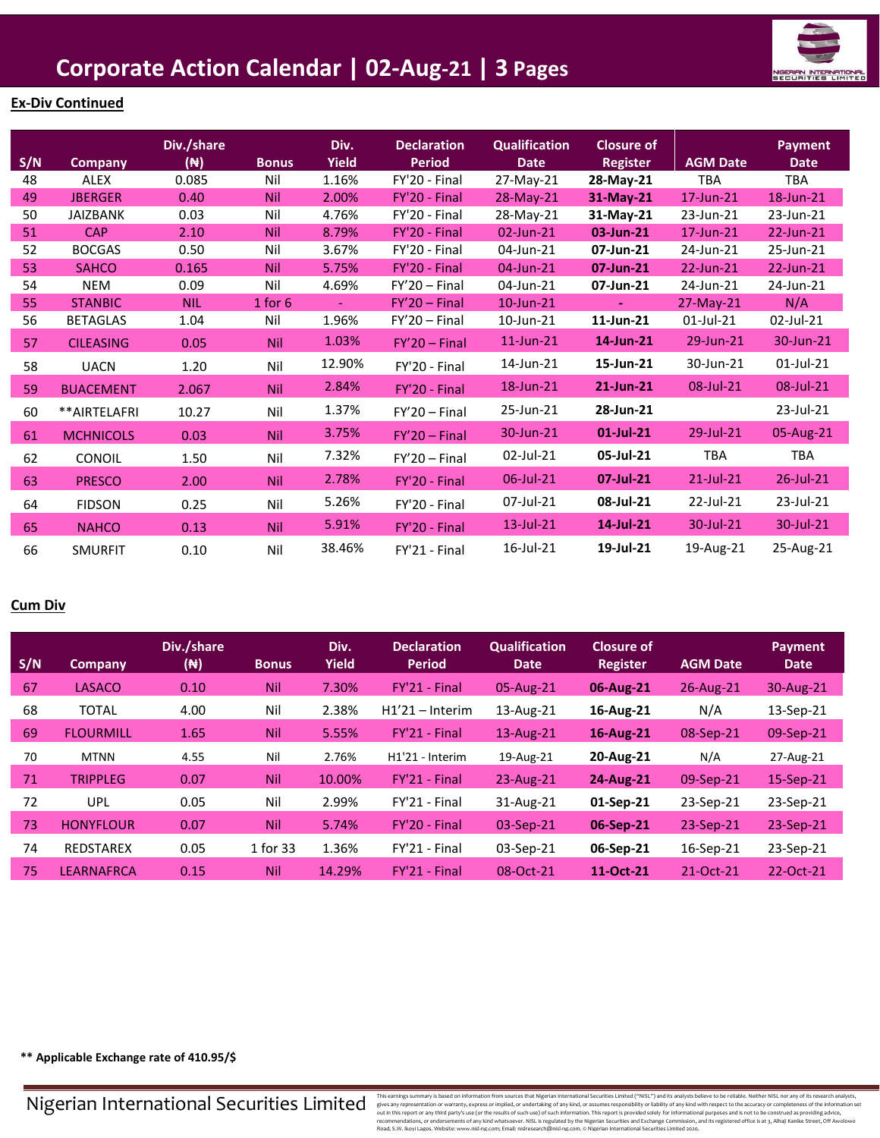

## **Ex-Div Continued**

| S/N | <b>Company</b>   | Div./share<br>$(\mathbb{H})$ | <b>Bonus</b> | Div.<br><b>Yield</b> | <b>Declaration</b><br><b>Period</b> | <b>Qualification</b><br><b>Date</b> | <b>Closure of</b><br><b>Register</b> | <b>AGM Date</b> | <b>Payment</b><br><b>Date</b> |
|-----|------------------|------------------------------|--------------|----------------------|-------------------------------------|-------------------------------------|--------------------------------------|-----------------|-------------------------------|
| 48  | <b>ALEX</b>      | 0.085                        | Nil          | 1.16%                | FY'20 - Final                       | 27-May-21                           | 28-May-21                            | <b>TBA</b>      | <b>TBA</b>                    |
| 49  | <b>JBERGER</b>   | 0.40                         | <b>Nil</b>   | 2.00%                | FY'20 - Final                       | 28-May-21                           | 31-May-21                            | $17$ -Jun- $21$ | 18-Jun-21                     |
| 50  | <b>JAIZBANK</b>  | 0.03                         | Nil          | 4.76%                | FY'20 - Final                       | 28-May-21                           | 31-May-21                            | 23-Jun-21       | 23-Jun-21                     |
| 51  | <b>CAP</b>       | 2.10                         | <b>Nil</b>   | 8.79%                | FY'20 - Final                       | 02-Jun-21                           | 03-Jun-21                            | 17-Jun-21       | 22-Jun-21                     |
| 52  | <b>BOCGAS</b>    | 0.50                         | Nil          | 3.67%                | FY'20 - Final                       | 04-Jun-21                           | 07-Jun-21                            | 24-Jun-21       | 25-Jun-21                     |
| 53  | <b>SAHCO</b>     | 0.165                        | <b>Nil</b>   | 5.75%                | FY'20 - Final                       | 04-Jun-21                           | 07-Jun-21                            | 22-Jun-21       | 22-Jun-21                     |
| 54  | <b>NEM</b>       | 0.09                         | Nil          | 4.69%                | $FY'20 - Final$                     | 04-Jun-21                           | 07-Jun-21                            | 24-Jun-21       | 24-Jun-21                     |
| 55  | <b>STANBIC</b>   | <b>NIL</b>                   | $1$ for $6$  | $\blacksquare$       | $FY'20 - Final$                     | 10-Jun-21                           | $\blacksquare$                       | $27-May-21$     | N/A                           |
| 56  | <b>BETAGLAS</b>  | 1.04                         | Nil          | 1.96%                | $FY'20 - Final$                     | 10-Jun-21                           | 11-Jun-21                            | 01-Jul-21       | 02-Jul-21                     |
| 57  | <b>CILEASING</b> | 0.05                         | <b>Nil</b>   | 1.03%                | $FY'20 - Final$                     | $11$ -Jun- $21$                     | 14-Jun-21                            | 29-Jun-21       | 30-Jun-21                     |
| 58  | <b>UACN</b>      | 1.20                         | Nil          | 12.90%               | FY'20 - Final                       | 14-Jun-21                           | 15-Jun-21                            | 30-Jun-21       | 01-Jul-21                     |
| 59  | <b>BUACEMENT</b> | 2.067                        | <b>Nil</b>   | 2.84%                | FY'20 - Final                       | 18-Jun-21                           | 21-Jun-21                            | 08-Jul-21       | 08-Jul-21                     |
| 60  | **AIRTELAFRI     | 10.27                        | Nil          | 1.37%                | $FY'20 - Final$                     | 25-Jun-21                           | 28-Jun-21                            |                 | 23-Jul-21                     |
| 61  | <b>MCHNICOLS</b> | 0.03                         | <b>Nil</b>   | 3.75%                | $FY'20 - Final$                     | 30-Jun-21                           | 01-Jul-21                            | 29-Jul-21       | 05-Aug-21                     |
| 62  | CONOIL           | 1.50                         | Nil          | 7.32%                | $FY'20 - Final$                     | 02-Jul-21                           | 05-Jul-21                            | <b>TBA</b>      | TBA                           |
| 63  | <b>PRESCO</b>    | 2.00                         | <b>Nil</b>   | 2.78%                | FY'20 - Final                       | 06-Jul-21                           | 07-Jul-21                            | $21$ -Jul-21    | 26-Jul-21                     |
| 64  | <b>FIDSON</b>    | 0.25                         | Nil          | 5.26%                | FY'20 - Final                       | 07-Jul-21                           | 08-Jul-21                            | 22-Jul-21       | 23-Jul-21                     |
| 65  | <b>NAHCO</b>     | 0.13                         | <b>Nil</b>   | 5.91%                | FY'20 - Final                       | $13$ -Jul-21                        | 14-Jul-21                            | 30-Jul-21       | 30-Jul-21                     |
| 66  | <b>SMURFIT</b>   | 0.10                         | Nil          | 38.46%               | FY'21 - Final                       | 16-Jul-21                           | 19-Jul-21                            | 19-Aug-21       | 25-Aug-21                     |

## **Cum Div**

| S/N | <b>Company</b>   | Div./share<br>( <del>N</del> ) | <b>Bonus</b> | Div.<br><b>Yield</b> | <b>Declaration</b><br><b>Period</b> | <b>Qualification</b><br><b>Date</b> | <b>Closure of</b><br><b>Register</b> | <b>AGM Date</b> | <b>Payment</b><br><b>Date</b> |
|-----|------------------|--------------------------------|--------------|----------------------|-------------------------------------|-------------------------------------|--------------------------------------|-----------------|-------------------------------|
| 67  | <b>LASACO</b>    | 0.10                           | <b>Nil</b>   | 7.30%                | FY'21 - Final                       | 05-Aug-21                           | 06-Aug-21                            | $26$ -Aug- $21$ | $30-Aug-21$                   |
| 68  | <b>TOTAL</b>     | 4.00                           | Nil          | 2.38%                | $H1'21 - Interm$                    | 13-Aug-21                           | 16-Aug-21                            | N/A             | 13-Sep-21                     |
| 69  | <b>FLOURMILL</b> | 1.65                           | <b>Nil</b>   | 5.55%                | FY'21 - Final                       | $13$ -Aug- $21$                     | 16-Aug-21                            | 08-Sep-21       | $09-Sep-21$                   |
| 70  | <b>MTNN</b>      | 4.55                           | Nil          | 2.76%                | H <sub>1</sub> '21 - Interim        | 19-Aug-21                           | 20-Aug-21                            | N/A             | 27-Aug-21                     |
| 71  | <b>TRIPPLEG</b>  | 0.07                           | <b>Nil</b>   | 10.00%               | FY'21 - Final                       | $23$ -Aug-21                        | 24-Aug-21                            | 09-Sep-21       | 15-Sep-21                     |
| 72  | UPL              | 0.05                           | Nil          | 2.99%                | FY'21 - Final                       | 31-Aug-21                           | 01-Sep-21                            | 23-Sep-21       | 23-Sep-21                     |
| 73  | <b>HONYFLOUR</b> | 0.07                           | <b>Nil</b>   | 5.74%                | FY'20 - Final                       | 03-Sep-21                           | 06-Sep-21                            | 23-Sep-21       | $23-Sep-21$                   |
| 74  | <b>REDSTAREX</b> | 0.05                           | 1 for 33     | 1.36%                | FY'21 - Final                       | 03-Sep-21                           | 06-Sep-21                            | 16-Sep-21       | 23-Sep-21                     |
| 75  | LEARNAFRCA       | 0.15                           | <b>Nil</b>   | 14.29%               | FY'21 - Final                       | 08-Oct-21                           | 11-Oct-21                            | 21-Oct-21       | 22-Oct-21                     |

**\*\* Applicable Exchange rate of 410.95/\$**

Nigerian International Securities Limited

This earnings summary is based on information from sources that Migretian Interactional Securities Limital and Migretian Interactional Securities Limital Securities (will serve the information of marginal states and missin